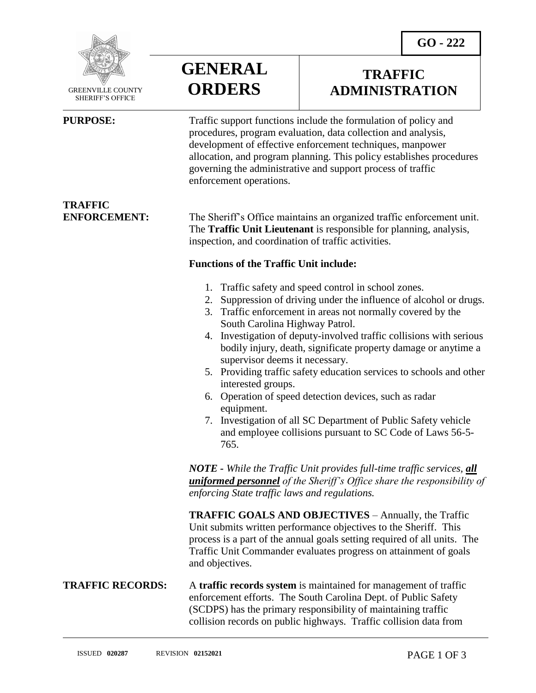

 GREENVILLE COUNTY SHERIFF'S OFFICE

**TRAFFIC** 

 $\overline{a}$ 

**GENERAL ORDERS**

## **TRAFFIC ADMINISTRATION**

**PURPOSE:** Traffic support functions include the formulation of policy and procedures, program evaluation, data collection and analysis, development of effective enforcement techniques, manpower allocation, and program planning. This policy establishes procedures governing the administrative and support process of traffic enforcement operations.

**ENFORCEMENT:** The Sheriff's Office maintains an organized traffic enforcement unit. The **Traffic Unit Lieutenant** is responsible for planning, analysis, inspection, and coordination of traffic activities.

### **Functions of the Traffic Unit include:**

- 1. Traffic safety and speed control in school zones.
- 2. Suppression of driving under the influence of alcohol or drugs.
- 3. Traffic enforcement in areas not normally covered by the South Carolina Highway Patrol.
- 4. Investigation of deputy-involved traffic collisions with serious bodily injury, death, significate property damage or anytime a supervisor deems it necessary.
- 5. Providing traffic safety education services to schools and other interested groups.
- 6. Operation of speed detection devices, such as radar equipment.
- 7. Investigation of all SC Department of Public Safety vehicle and employee collisions pursuant to SC Code of Laws 56-5- 765.

*NOTE - While the Traffic Unit provides full-time traffic services, all uniformed personnel of the Sheriff's Office share the responsibility of enforcing State traffic laws and regulations.*

**TRAFFIC GOALS AND OBJECTIVES** – Annually, the Traffic Unit submits written performance objectives to the Sheriff. This process is a part of the annual goals setting required of all units. The Traffic Unit Commander evaluates progress on attainment of goals and objectives.

### **TRAFFIC RECORDS:** A **traffic records system** is maintained for management of traffic enforcement efforts. The South Carolina Dept. of Public Safety (SCDPS) has the primary responsibility of maintaining traffic collision records on public highways. Traffic collision data from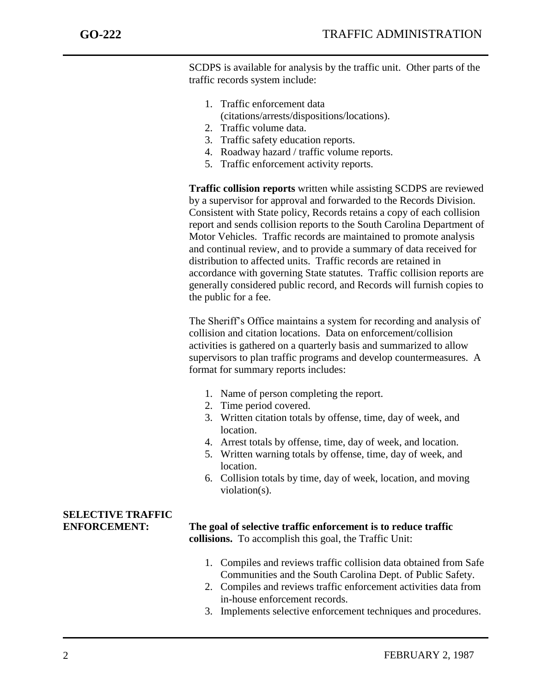j

SCDPS is available for analysis by the traffic unit. Other parts of the traffic records system include:

- 1. Traffic enforcement data (citations/arrests/dispositions/locations).
- 2. Traffic volume data.
- 3. Traffic safety education reports.
- 4. Roadway hazard / traffic volume reports.
- 5. Traffic enforcement activity reports.

**Traffic collision reports** written while assisting SCDPS are reviewed by a supervisor for approval and forwarded to the Records Division. Consistent with State policy, Records retains a copy of each collision report and sends collision reports to the South Carolina Department of Motor Vehicles. Traffic records are maintained to promote analysis and continual review, and to provide a summary of data received for distribution to affected units. Traffic records are retained in accordance with governing State statutes. Traffic collision reports are generally considered public record, and Records will furnish copies to the public for a fee.

The Sheriff's Office maintains a system for recording and analysis of collision and citation locations. Data on enforcement/collision activities is gathered on a quarterly basis and summarized to allow supervisors to plan traffic programs and develop countermeasures. A format for summary reports includes:

- 1. Name of person completing the report.
- 2. Time period covered.
- 3. Written citation totals by offense, time, day of week, and location.
- 4. Arrest totals by offense, time, day of week, and location.
- 5. Written warning totals by offense, time, day of week, and location.
- 6. Collision totals by time, day of week, location, and moving violation(s).

# **SELECTIVE TRAFFIC**

### **ENFORCEMENT: The goal of selective traffic enforcement is to reduce traffic collisions.** To accomplish this goal, the Traffic Unit:

- 1. Compiles and reviews traffic collision data obtained from Safe Communities and the South Carolina Dept. of Public Safety.
- 2. Compiles and reviews traffic enforcement activities data from in-house enforcement records.
- 3. Implements selective enforcement techniques and procedures.